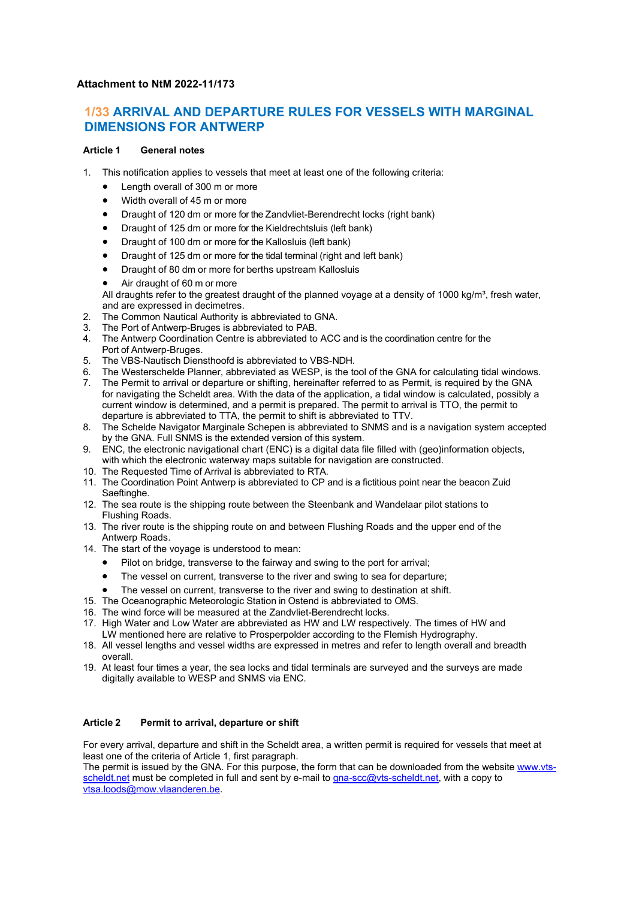# **Attachment to NtM 2022-11/173**

# **1/33 ARRIVAL AND DEPARTURE RULES FOR VESSELS WITH MARGINAL DIMENSIONS FOR ANTWERP**

## **Article 1 General notes**

- 1. This notification applies to vessels that meet at least one of the following criteria:
	- Length overall of 300 m or more
	- Width overall of 45 m or more
	- Draught of 120 dm or more for the Zandvliet-Berendrecht locks (right bank)
	- Draught of 125 dm or more for the Kieldrechtsluis (left bank)
	- Draught of 100 dm or more for the Kallosluis (left bank)
	- Draught of 125 dm or more for the tidal terminal (right and left bank)
	- Draught of 80 dm or more for berths upstream Kallosluis
	- Air draught of 60 m or more
	- All draughts refer to the greatest draught of the planned voyage at a density of 1000 kg/m<sup>3</sup>, fresh water, and are expressed in decimetres.
- The Common Nautical Authority is abbreviated to GNA.
- 3. The Port of Antwerp-Bruges is abbreviated to PAB.
- 4. The Antwerp Coordination Centre is abbreviated to ACC and is the coordination centre for the Port of Antwerp-Bruges.
- 5. The VBS-Nautisch Diensthoofd is abbreviated to VBS-NDH.<br>6. The Westerschelde Planner, abbreviated as WESP, is the to
- 6. The Westerschelde Planner, abbreviated as WESP, is the tool of the GNA for calculating tidal windows.<br>7. The Permit to arrival or departure or shifting, hereinafter referred to as Permit, is required by the GNA
- The Permit to arrival or departure or shifting, hereinafter referred to as Permit, is required by the GNA for navigating the Scheldt area. With the data of the application, a tidal window is calculated, possibly a current window is determined, and a permit is prepared. The permit to arrival is TTO, the permit to departure is abbreviated to TTA, the permit to shift is abbreviated to TTV.
- 8. The Schelde Navigator Marginale Schepen is abbreviated to SNMS and is a navigation system accepted by the GNA. Full SNMS is the extended version of this system.
- 9. ENC, the electronic navigational chart (ENC) is a digital data file filled with (geo)information objects, with which the electronic waterway maps suitable for navigation are constructed.
- 10. The Requested Time of Arrival is abbreviated to RTA.
- 11. The Coordination Point Antwerp is abbreviated to CP and is a fictitious point near the beacon Zuid Saeftinghe.
- 12. The sea route is the shipping route between the Steenbank and Wandelaar pilot stations to Flushing Roads.
- 13. The river route is the shipping route on and between Flushing Roads and the upper end of the Antwerp Roads.
- 14. The start of the voyage is understood to mean:
	- Pilot on bridge, transverse to the fairway and swing to the port for arrival;
	- The vessel on current, transverse to the river and swing to sea for departure;
	- The vessel on current, transverse to the river and swing to destination at shift.
- 15. The Oceanographic Meteorologic Station in Ostend is abbreviated to OMS.
- 16. The wind force will be measured at the Zandvliet-Berendrecht locks.
- 17. High Water and Low Water are abbreviated as HW and LW respectively. The times of HW and LW mentioned here are relative to Prosperpolder according to the Flemish Hydrography.
- 18. All vessel lengths and vessel widths are expressed in metres and refer to length overall and breadth overall.
- 19. At least four times a year, the sea locks and tidal terminals are surveyed and the surveys are made digitally available to WESP and SNMS via ENC.

# **Article 2 Permit to arrival, departure or shift**

For every arrival, departure and shift in the Scheldt area, a written permit is required for vessels that meet at least one of the criteria of Article 1, first paragraph.

The permit is issued by the GNA. For this purpose, the form that can be downloaded from the website [www.vts](http://www.vts-scheldt.net/)[scheldt.net](http://www.vts-scheldt.net/) must be completed in full and sent by e-mail to [gna-scc@vts-scheldt.net,](mailto:gna-scc@vts-scheldt.net) with a copy to [vtsa.loods@mow.vlaanderen.be.](mailto:vtsa.loods@mow.vlaanderen.be)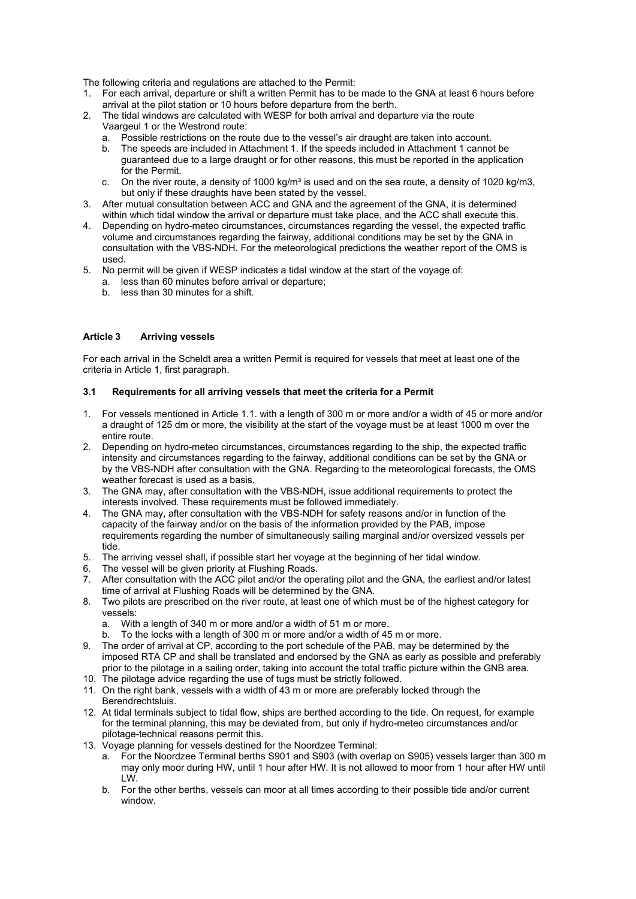The following criteria and regulations are attached to the Permit:

- 1. For each arrival, departure or shift a written Permit has to be made to the GNA at least 6 hours before arrival at the pilot station or 10 hours before departure from the berth.
- 2. The tidal windows are calculated with WESP for both arrival and departure via the route Vaargeul 1 or the Westrond route:
	- a. Possible restrictions on the route due to the vessel's air draught are taken into account.
	- b. The speeds are included in Attachment 1. If the speeds included in Attachment 1 cannot be guaranteed due to a large draught or for other reasons, this must be reported in the application for the Permit.
	- c. On the river route, a density of 1000 kg/m<sup>3</sup> is used and on the sea route, a density of 1020 kg/m3, but only if these draughts have been stated by the vessel.
- 3. After mutual consultation between ACC and GNA and the agreement of the GNA, it is determined within which tidal window the arrival or departure must take place, and the ACC shall execute this.
- 4. Depending on hydro-meteo circumstances, circumstances regarding the vessel, the expected traffic volume and circumstances regarding the fairway, additional conditions may be set by the GNA in consultation with the VBS-NDH. For the meteorological predictions the weather report of the OMS is used.
- 5. No permit will be given if WESP indicates a tidal window at the start of the voyage of:
	- a. less than 60 minutes before arrival or departure;
	- b. less than 30 minutes for a shift.

## **Article 3 Arriving vessels**

For each arrival in the Scheldt area a written Permit is required for vessels that meet at least one of the criteria in Article 1, first paragraph.

## **3.1 Requirements for all arriving vessels that meet the criteria for a Permit**

- 1. For vessels mentioned in Article 1.1. with a length of 300 m or more and/or a width of 45 or more and/or a draught of 125 dm or more, the visibility at the start of the voyage must be at least 1000 m over the entire route.
- 2. Depending on hydro-meteo circumstances, circumstances regarding to the ship, the expected traffic intensity and circumstances regarding to the fairway, additional conditions can be set by the GNA or by the VBS-NDH after consultation with the GNA. Regarding to the meteorological forecasts, the OMS weather forecast is used as a basis.
- 3. The GNA may, after consultation with the VBS-NDH, issue additional requirements to protect the interests involved. These requirements must be followed immediately.
- 4. The GNA may, after consultation with the VBS-NDH for safety reasons and/or in function of the capacity of the fairway and/or on the basis of the information provided by the PAB, impose requirements regarding the number of simultaneously sailing marginal and/or oversized vessels per tide.
- 5. The arriving vessel shall, if possible start her voyage at the beginning of her tidal window.
- 6. The vessel will be given priority at Flushing Roads.<br>7. After consultation with the ACC pilot and/or the ope
- After consultation with the ACC pilot and/or the operating pilot and the GNA, the earliest and/or latest time of arrival at Flushing Roads will be determined by the GNA.
- 8. Two pilots are prescribed on the river route, at least one of which must be of the highest category for vessels:<br>a. Witl
	- With a length of 340 m or more and/or a width of 51 m or more.
	- b. To the locks with a length of 300 m or more and/or a width of 45 m or more.
- 9. The order of arrival at CP, according to the port schedule of the PAB, may be determined by the imposed RTA CP and shall be translated and endorsed by the GNA as early as possible and preferably prior to the pilotage in a sailing order, taking into account the total traffic picture within the GNB area.
- 10. The pilotage advice regarding the use of tugs must be strictly followed.
- 11. On the right bank, vessels with a width of 43 m or more are preferably locked through the Berendrechtsluis.
- 12. At tidal terminals subject to tidal flow, ships are berthed according to the tide. On request, for example for the terminal planning, this may be deviated from, but only if hydro-meteo circumstances and/or pilotage-technical reasons permit this.
- 13. Voyage planning for vessels destined for the Noordzee Terminal:
	- a. For the Noordzee Terminal berths S901 and S903 (with overlap on S905) vessels larger than 300 m may only moor during HW, until 1 hour after HW. It is not allowed to moor from 1 hour after HW until LW.
	- b. For the other berths, vessels can moor at all times according to their possible tide and/or current window.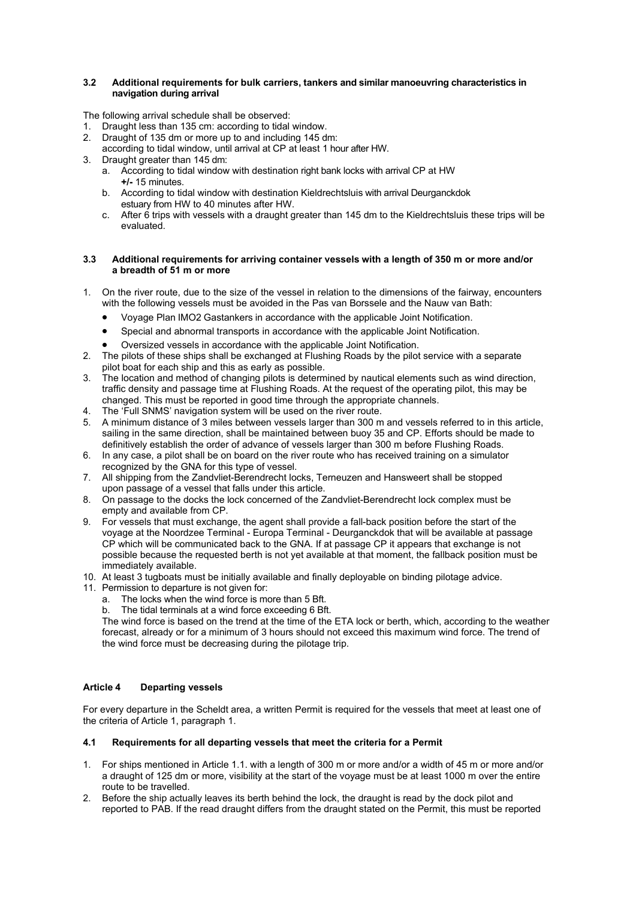#### **3.2 Additional requirements for bulk carriers, tankers and similar manoeuvring characteristics in navigation during arrival**

The following arrival schedule shall be observed:

- 1. Draught less than 135 cm: according to tidal window.
- 2. Draught of 135 dm or more up to and including 145 dm:
- according to tidal window, until arrival at CP at least 1 hour after HW.
- 3. Draught greater than 145 dm:
	- a. According to tidal window with destination right bank locks with arrival CP at HW **+/-** 15 minutes.
	- b. According to tidal window with destination Kieldrechtsluis with arrival Deurganckdok estuary from HW to 40 minutes after HW.
	- c. After 6 trips with vessels with a draught greater than 145 dm to the Kieldrechtsluis these trips will be evaluated.

#### **3.3 Additional requirements for arriving container vessels with a length of 350 m or more and/or a breadth of 51 m or more**

- 1. On the river route, due to the size of the vessel in relation to the dimensions of the fairway, encounters with the following vessels must be avoided in the Pas van Borssele and the Nauw van Bath:
	- Voyage Plan IMO2 Gastankers in accordance with the applicable Joint Notification.
	- Special and abnormal transports in accordance with the applicable Joint Notification.
	- Oversized vessels in accordance with the applicable Joint Notification.
- 2. The pilots of these ships shall be exchanged at Flushing Roads by the pilot service with a separate pilot boat for each ship and this as early as possible.
- 3. The location and method of changing pilots is determined by nautical elements such as wind direction, traffic density and passage time at Flushing Roads. At the request of the operating pilot, this may be changed. This must be reported in good time through the appropriate channels.
- 4. The 'Full SNMS' navigation system will be used on the river route.
- 5. A minimum distance of 3 miles between vessels larger than 300 m and vessels referred to in this article, sailing in the same direction, shall be maintained between buoy 35 and CP. Efforts should be made to definitively establish the order of advance of vessels larger than 300 m before Flushing Roads.
- 6. In any case, a pilot shall be on board on the river route who has received training on a simulator recognized by the GNA for this type of vessel.
- 7. All shipping from the Zandvliet-Berendrecht locks, Terneuzen and Hansweert shall be stopped upon passage of a vessel that falls under this article.
- 8. On passage to the docks the lock concerned of the Zandvliet-Berendrecht lock complex must be empty and available from CP.
- 9. For vessels that must exchange, the agent shall provide a fall-back position before the start of the voyage at the Noordzee Terminal - Europa Terminal - Deurganckdok that will be available at passage CP which will be communicated back to the GNA. If at passage CP it appears that exchange is not possible because the requested berth is not yet available at that moment, the fallback position must be immediately available.
- 10. At least 3 tugboats must be initially available and finally deployable on binding pilotage advice.
- 11. Permission to departure is not given for:
	-
	- a. The locks when the wind force is more than 5 Bft.<br>b. The tidal terminals at a wind force exceeding 6 Bft. The tidal terminals at a wind force exceeding 6 Bft.

The wind force is based on the trend at the time of the ETA lock or berth, which, according to the weather forecast, already or for a minimum of 3 hours should not exceed this maximum wind force. The trend of the wind force must be decreasing during the pilotage trip.

# **Article 4 Departing vessels**

For every departure in the Scheldt area, a written Permit is required for the vessels that meet at least one of the criteria of Article 1, paragraph 1.

# **4.1 Requirements for all departing vessels that meet the criteria for a Permit**

- 1. For ships mentioned in Article 1.1. with a length of 300 m or more and/or a width of 45 m or more and/or a draught of 125 dm or more, visibility at the start of the voyage must be at least 1000 m over the entire route to be travelled.
- 2. Before the ship actually leaves its berth behind the lock, the draught is read by the dock pilot and reported to PAB. If the read draught differs from the draught stated on the Permit, this must be reported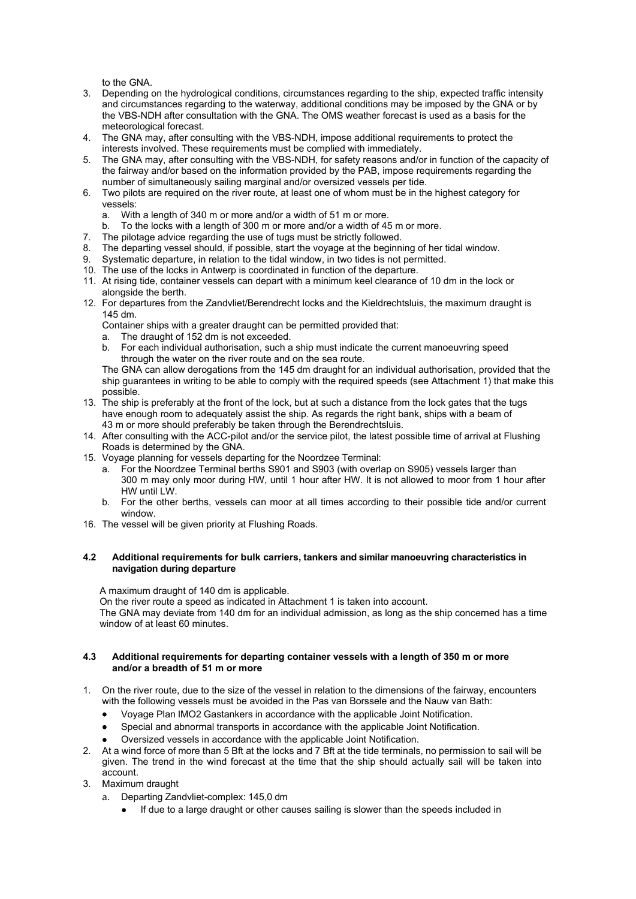to the GNA.

- 3. Depending on the hydrological conditions, circumstances regarding to the ship, expected traffic intensity and circumstances regarding to the waterway, additional conditions may be imposed by the GNA or by the VBS-NDH after consultation with the GNA. The OMS weather forecast is used as a basis for the meteorological forecast.
- 4. The GNA may, after consulting with the VBS-NDH, impose additional requirements to protect the interests involved. These requirements must be complied with immediately.
- 5. The GNA may, after consulting with the VBS-NDH, for safety reasons and/or in function of the capacity of the fairway and/or based on the information provided by the PAB, impose requirements regarding the number of simultaneously sailing marginal and/or oversized vessels per tide.
- 6. Two pilots are required on the river route, at least one of whom must be in the highest category for vessels:
	- a. With a length of 340 m or more and/or a width of 51 m or more.
	- b. To the locks with a length of 300 m or more and/or a width of 45 m or more.
- 7. The pilotage advice regarding the use of tugs must be strictly followed.
- 8. The departing vessel should, if possible, start the voyage at the beginning of her tidal window.<br>9. Systematic departure, in relation to the tidal window, in two tides is not permitted.
- Systematic departure, in relation to the tidal window, in two tides is not permitted.
- 10. The use of the locks in Antwerp is coordinated in function of the departure.
- 11. At rising tide, container vessels can depart with a minimum keel clearance of 10 dm in the lock or alongside the berth.
- 12. For departures from the Zandvliet/Berendrecht locks and the Kieldrechtsluis, the maximum draught is 145 dm.

Container ships with a greater draught can be permitted provided that:

- a. The draught of 152 dm is not exceeded.<br>b. For each individual authorisation, such a
- For each individual authorisation, such a ship must indicate the current manoeuvring speed through the water on the river route and on the sea route.

The GNA can allow derogations from the 145 dm draught for an individual authorisation, provided that the ship guarantees in writing to be able to comply with the required speeds (see Attachment 1) that make this possible.

- 13. The ship is preferably at the front of the lock, but at such a distance from the lock gates that the tugs have enough room to adequately assist the ship. As regards the right bank, ships with a beam of 43 m or more should preferably be taken through the Berendrechtsluis.
- 14. After consulting with the ACC-pilot and/or the service pilot, the latest possible time of arrival at Flushing Roads is determined by the GNA.
- 15. Voyage planning for vessels departing for the Noordzee Terminal:
	- a. For the Noordzee Terminal berths S901 and S903 (with overlap on S905) vessels larger than 300 m may only moor during HW, until 1 hour after HW. It is not allowed to moor from 1 hour after HW until LW.
	- b. For the other berths, vessels can moor at all times according to their possible tide and/or current window.
- 16. The vessel will be given priority at Flushing Roads.

## **4.2 Additional requirements for bulk carriers, tankers and similar manoeuvring characteristics in navigation during departure**

A maximum draught of 140 dm is applicable.

On the river route a speed as indicated in Attachment 1 is taken into account.

The GNA may deviate from 140 dm for an individual admission, as long as the ship concerned has a time window of at least 60 minutes.

#### **4.3 Additional requirements for departing container vessels with a length of 350 m or more and/or a breadth of 51 m or more**

- 1. On the river route, due to the size of the vessel in relation to the dimensions of the fairway, encounters with the following vessels must be avoided in the Pas van Borssele and the Nauw van Bath:
	- Voyage Plan IMO2 Gastankers in accordance with the applicable Joint Notification.
	- Special and abnormal transports in accordance with the applicable Joint Notification.
	- Oversized vessels in accordance with the applicable Joint Notification.
- 2. At a wind force of more than 5 Bft at the locks and 7 Bft at the tide terminals, no permission to sail will be given. The trend in the wind forecast at the time that the ship should actually sail will be taken into account.
- 3. Maximum draught
	- a. Departing Zandvliet-complex: 145,0 dm
		- If due to a large draught or other causes sailing is slower than the speeds included in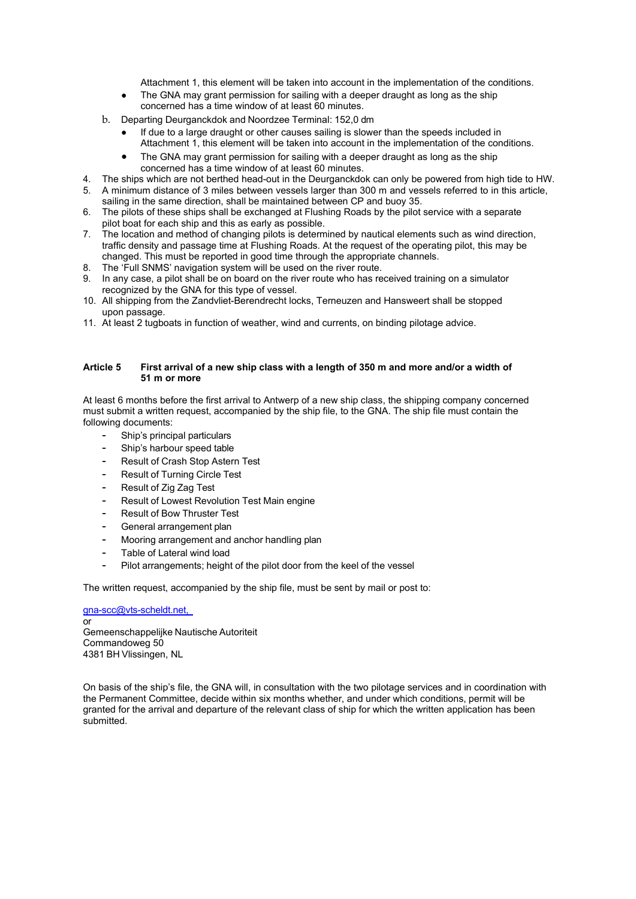Attachment 1, this element will be taken into account in the implementation of the conditions.

- The GNA may grant permission for sailing with a deeper draught as long as the ship concerned has a time window of at least 60 minutes.
- b. Departing Deurganckdok and Noordzee Terminal: 152,0 dm
	- If due to a large draught or other causes sailing is slower than the speeds included in Attachment 1, this element will be taken into account in the implementation of the conditions.
	- The GNA may grant permission for sailing with a deeper draught as long as the ship concerned has a time window of at least 60 minutes.
- 4. The ships which are not berthed head-out in the Deurganckdok can only be powered from high tide to HW.
- 5. A minimum distance of 3 miles between vessels larger than 300 m and vessels referred to in this article, sailing in the same direction, shall be maintained between CP and buoy 35.
- 6. The pilots of these ships shall be exchanged at Flushing Roads by the pilot service with a separate pilot boat for each ship and this as early as possible.
- 7. The location and method of changing pilots is determined by nautical elements such as wind direction, traffic density and passage time at Flushing Roads. At the request of the operating pilot, this may be changed. This must be reported in good time through the appropriate channels.
- 8. The 'Full SNMS' navigation system will be used on the river route.
- 9. In any case, a pilot shall be on board on the river route who has received training on a simulator recognized by the GNA for this type of vessel.
- 10. All shipping from the Zandvliet-Berendrecht locks, Terneuzen and Hansweert shall be stopped upon passage.
- 11. At least 2 tugboats in function of weather, wind and currents, on binding pilotage advice.

#### **Article 5 First arrival of a new ship class with a length of 350 m and more and/or a width of 51 m or more**

At least 6 months before the first arrival to Antwerp of a new ship class, the shipping company concerned must submit a written request, accompanied by the ship file, to the GNA. The ship file must contain the following documents:

- Ship's principal particulars
- Ship's harbour speed table
- Result of Crash Stop Astern Test
- Result of Turning Circle Test
- Result of Zig Zag Test
- Result of Lowest Revolution Test Main engine
- Result of Bow Thruster Test
- General arrangement plan
- Mooring arrangement and anchor handling plan
- Table of Lateral wind load
- Pilot arrangements; height of the pilot door from the keel of the vessel

The written request, accompanied by the ship file, must be sent by mail or post to:

[gna-scc@vts-scheldt.net,](mailto:gna-scc@vts-scheldt.net,) or Gemeenschappelijke Nautische Autoriteit Commandoweg 50 4381 BH Vlissingen, NL

On basis of the ship's file, the GNA will, in consultation with the two pilotage services and in coordination with the Permanent Committee, decide within six months whether, and under which conditions, permit will be granted for the arrival and departure of the relevant class of ship for which the written application has been submitted.